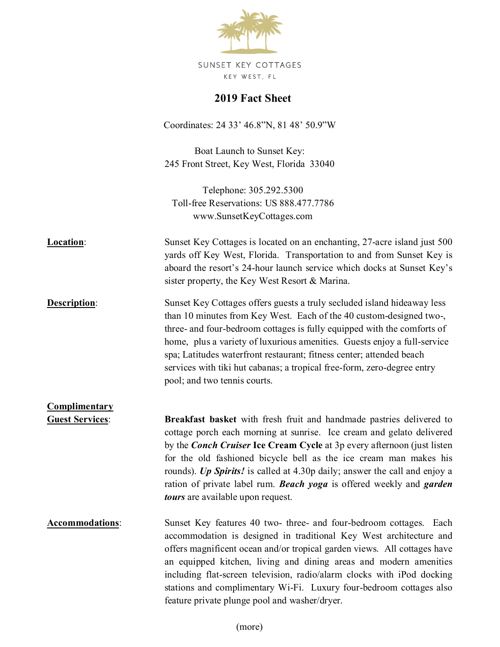|                        | <b>SUNSET KEY COTTAGES</b>                                                                                                                                                                                                                                                                                                                                                                                                                                                                             |
|------------------------|--------------------------------------------------------------------------------------------------------------------------------------------------------------------------------------------------------------------------------------------------------------------------------------------------------------------------------------------------------------------------------------------------------------------------------------------------------------------------------------------------------|
|                        | KEY WEST, FL                                                                                                                                                                                                                                                                                                                                                                                                                                                                                           |
|                        | 2019 Fact Sheet                                                                                                                                                                                                                                                                                                                                                                                                                                                                                        |
|                        | Coordinates: 24 33' 46.8"N, 81 48' 50.9"W                                                                                                                                                                                                                                                                                                                                                                                                                                                              |
|                        | Boat Launch to Sunset Key:<br>245 Front Street, Key West, Florida 33040                                                                                                                                                                                                                                                                                                                                                                                                                                |
|                        | Telephone: 305.292.5300<br>Toll-free Reservations: US 888.477.7786<br>www.SunsetKeyCottages.com                                                                                                                                                                                                                                                                                                                                                                                                        |
| Location:              | Sunset Key Cottages is located on an enchanting, 27-acre island just 500<br>yards off Key West, Florida. Transportation to and from Sunset Key is<br>aboard the resort's 24-hour launch service which docks at Sunset Key's<br>sister property, the Key West Resort & Marina.                                                                                                                                                                                                                          |
| <b>Description:</b>    | Sunset Key Cottages offers guests a truly secluded island hideaway less<br>than 10 minutes from Key West. Each of the 40 custom-designed two-,<br>three- and four-bedroom cottages is fully equipped with the comforts of<br>home, plus a variety of luxurious amenities. Guests enjoy a full-service<br>spa; Latitudes waterfront restaurant; fitness center; attended beach<br>services with tiki hut cabanas; a tropical free-form, zero-degree entry<br>pool; and two tennis courts.               |
| <u>Complimentary</u>   |                                                                                                                                                                                                                                                                                                                                                                                                                                                                                                        |
| <b>Guest Services:</b> | Breakfast basket with fresh fruit and handmade pastries delivered to<br>cottage porch each morning at sunrise. Ice cream and gelato delivered<br>by the <i>Conch Cruiser</i> Ice Cream Cycle at 3p every afternoon (just listen<br>for the old fashioned bicycle bell as the ice cream man makes his<br>rounds). Up Spirits! is called at 4.30p daily; answer the call and enjoy a<br>ration of private label rum. Beach yoga is offered weekly and garden<br><i>tours</i> are available upon request. |
| <u>Accommodations:</u> | Sunset Key features 40 two- three- and four-bedroom cottages. Each<br>accommodation is designed in traditional Key West architecture and<br>offers magnificent ocean and/or tropical garden views. All cottages have<br>an equipped kitchen, living and dining areas and modern amenities<br>including flat-screen television, radio/alarm clocks with iPod docking<br>stations and complimentary Wi-Fi. Luxury four-bedroom cottages also<br>feature private plunge pool and washer/dryer.            |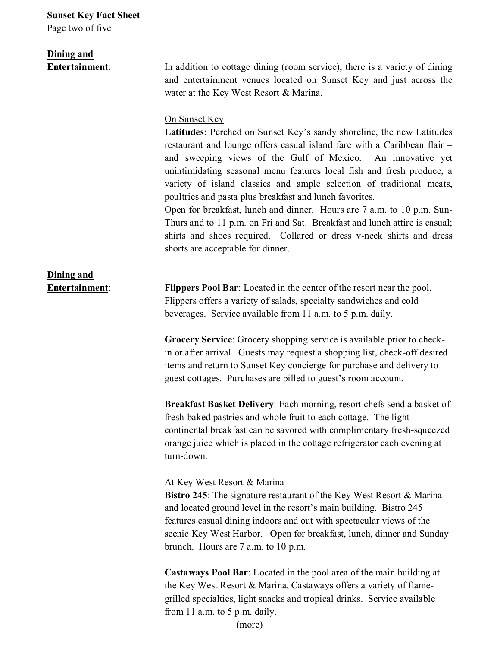Page two of five

## **Dining and**

**Entertainment:** In addition to cottage dining (room service), there is a variety of dining and entertainment venues located on Sunset Key and just across the water at the Key West Resort & Marina.

#### On Sunset Key

**Latitudes**: Perched on Sunset Key's sandy shoreline, the new Latitudes restaurant and lounge offers casual island fare with a Caribbean flair – and sweeping views of the Gulf of Mexico. An innovative yet unintimidating seasonal menu features local fish and fresh produce, a variety of island classics and ample selection of traditional meats, poultries and pasta plus breakfast and lunch favorites.

Open for breakfast, lunch and dinner. Hours are 7 a.m. to 10 p.m. Sun-Thurs and to 11 p.m. on Fri and Sat. Breakfast and lunch attire is casual; shirts and shoes required. Collared or dress v-neck shirts and dress shorts are acceptable for dinner.

# **Dining and**

**Entertainment: Flippers Pool Bar:** Located in the center of the resort near the pool, Flippers offers a variety of salads, specialty sandwiches and cold beverages. Service available from 11 a.m. to 5 p.m. daily.

> **Grocery Service**: Grocery shopping service is available prior to checkin or after arrival. Guests may request a shopping list, check-off desired items and return to Sunset Key concierge for purchase and delivery to guest cottages. Purchases are billed to guest's room account.

> **Breakfast Basket Delivery**: Each morning, resort chefs send a basket of fresh-baked pastries and whole fruit to each cottage. The light continental breakfast can be savored with complimentary fresh-squeezed orange juice which is placed in the cottage refrigerator each evening at turn-down.

#### At Key West Resort & Marina

**Bistro 245**: The signature restaurant of the Key West Resort & Marina and located ground level in the resort's main building. Bistro 245 features casual dining indoors and out with spectacular views of the scenic Key West Harbor. Open for breakfast, lunch, dinner and Sunday brunch. Hours are 7 a.m. to 10 p.m.

**Castaways Pool Bar**: Located in the pool area of the main building at the Key West Resort & Marina, Castaways offers a variety of flamegrilled specialties, light snacks and tropical drinks. Service available from 11 a.m. to 5 p.m. daily.

(more)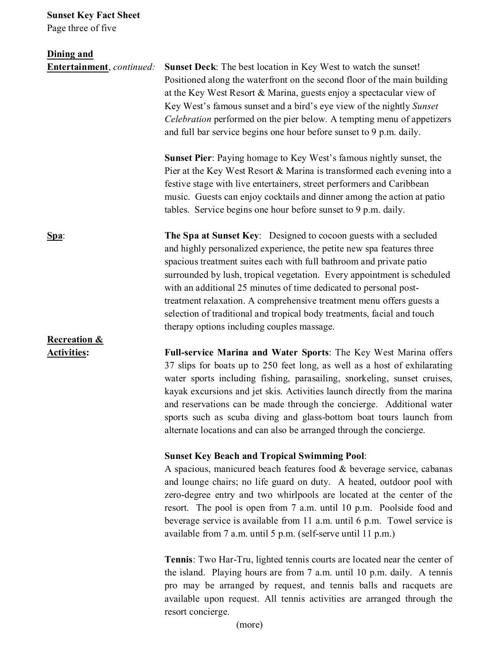Page three of five

| Dining and |  |  |  |  |
|------------|--|--|--|--|
|            |  |  |  |  |

| Entertainment, continued:                     | <b>Sunset Deck:</b> The best location in Key West to watch the sunset!<br>Positioned along the waterfront on the second floor of the main building<br>at the Key West Resort & Marina, guests enjoy a spectacular view of<br>Key West's famous sunset and a bird's eye view of the nightly Sunset<br>Celebration performed on the pier below. A tempting menu of appetizers<br>and full bar service begins one hour before sunset to 9 p.m. daily.                                                                                                                |  |  |  |  |
|-----------------------------------------------|-------------------------------------------------------------------------------------------------------------------------------------------------------------------------------------------------------------------------------------------------------------------------------------------------------------------------------------------------------------------------------------------------------------------------------------------------------------------------------------------------------------------------------------------------------------------|--|--|--|--|
|                                               | Sunset Pier: Paying homage to Key West's famous nightly sunset, the<br>Pier at the Key West Resort & Marina is transformed each evening into a<br>festive stage with live entertainers, street performers and Caribbean<br>music. Guests can enjoy cocktails and dinner among the action at patio<br>tables. Service begins one hour before sunset to 9 p.m. daily.                                                                                                                                                                                               |  |  |  |  |
| Spa:                                          | The Spa at Sunset Key: Designed to cocoon guests with a secluded<br>and highly personalized experience, the petite new spa features three<br>spacious treatment suites each with full bathroom and private patio<br>surrounded by lush, tropical vegetation. Every appointment is scheduled<br>with an additional 25 minutes of time dedicated to personal post-<br>treatment relaxation. A comprehensive treatment menu offers guests a<br>selection of traditional and tropical body treatments, facial and touch<br>therapy options including couples massage. |  |  |  |  |
| <b>Recreation &amp;</b><br><b>Activities:</b> | Full-service Marina and Water Sports: The Key West Marina offers<br>37 slips for boats up to 250 feet long, as well as a host of exhilarating<br>water sports including fishing, parasailing, snorkeling, sunset cruises,<br>kayak excursions and jet skis. Activities launch directly from the marina<br>and reservations can be made through the concierge. Additional water<br>sports such as scuba diving and glass-bottom boat tours launch from<br>alternate locations and can also be arranged through the concierge.                                      |  |  |  |  |
|                                               | <b>Sunset Key Beach and Tropical Swimming Pool:</b><br>A spacious, manicured beach features food & beverage service, cabanas<br>and lounge chairs; no life guard on duty. A heated, outdoor pool with<br>zero-degree entry and two whirlpools are located at the center of the<br>resort. The pool is open from 7 a.m. until 10 p.m. Poolside food and<br>beverage service is available from 11 a.m. until 6 p.m. Towel service is<br>available from 7 a.m. until 5 p.m. (self-serve until 11 p.m.)                                                               |  |  |  |  |
|                                               | Tennis: Two Har-Tru, lighted tennis courts are located near the center of<br>the island. Playing hours are from 7 a.m. until 10 p.m. daily. A tennis<br>pro may be arranged by request, and tennis balls and racquets are<br>available upon request. All tennis activities are arranged through the<br>resort concierge.<br>(more)                                                                                                                                                                                                                                |  |  |  |  |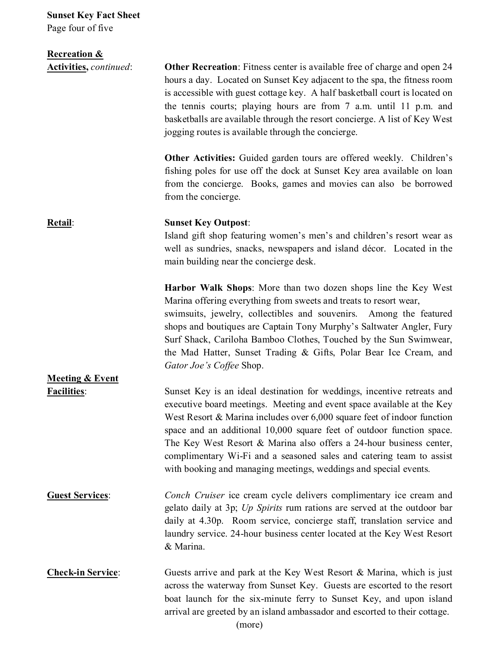Page four of five

#### **Recreation &**

**Activities,** *continued*: **Other Recreation**: Fitness center is available free of charge and open 24 hours a day. Located on Sunset Key adjacent to the spa, the fitness room is accessible with guest cottage key. A half basketball court is located on the tennis courts; playing hours are from 7 a.m. until 11 p.m. and basketballs are available through the resort concierge. A list of Key West jogging routes is available through the concierge.

> **Other Activities:** Guided garden tours are offered weekly. Children's fishing poles for use off the dock at Sunset Key area available on loan from the concierge. Books, games and movies can also be borrowed from the concierge.

**Meeting & Event**

**Retail**: **Sunset Key Outpost**:

Island gift shop featuring women's men's and children's resort wear as well as sundries, snacks, newspapers and island décor. Located in the main building near the concierge desk.

**Harbor Walk Shops**: More than two dozen shops line the Key West Marina offering everything from sweets and treats to resort wear,

swimsuits, jewelry, collectibles and souvenirs. Among the featured shops and boutiques are Captain Tony Murphy's Saltwater Angler, Fury Surf Shack, Cariloha Bamboo Clothes, Touched by the Sun Swimwear, the Mad Hatter, Sunset Trading & Gifts, Polar Bear Ice Cream, and *Gator Joe's Coffee* Shop.

**Facilities**: Sunset Key is an ideal destination for weddings, incentive retreats and executive board meetings. Meeting and event space available at the Key West Resort & Marina includes over 6,000 square feet of indoor function space and an additional 10,000 square feet of outdoor function space. The Key West Resort & Marina also offers a 24-hour business center, complimentary Wi-Fi and a seasoned sales and catering team to assist with booking and managing meetings, weddings and special events.

**Guest Services**: *Conch Cruiser* ice cream cycle delivers complimentary ice cream and gelato daily at 3p; *Up Spirits* rum rations are served at the outdoor bar daily at 4.30p. Room service, concierge staff, translation service and laundry service. 24-hour business center located at the Key West Resort & Marina.

**Check-in Service:** Guests arrive and park at the Key West Resort & Marina, which is just across the waterway from Sunset Key. Guests are escorted to the resort boat launch for the six-minute ferry to Sunset Key, and upon island arrival are greeted by an island ambassador and escorted to their cottage.